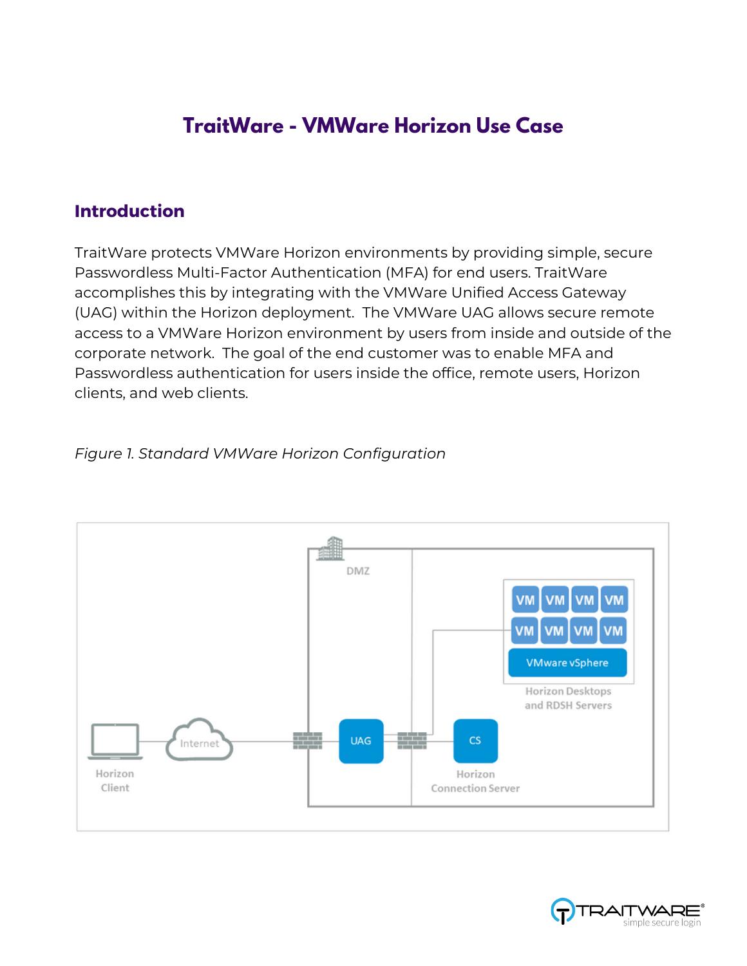## **TraitWare - VMWare Horizon Use Case**

## **Introduction**

TraitWare protects VMWare Horizon environments by providing simple, secure Passwordless Multi-Factor Authentication (MFA) for end users. TraitWare accomplishes this by integrating with the VMWare Unified Access Gateway (UAG) within the Horizon deployment. The VMWare UAG allows secure remote access to a VMWare Horizon environment by users from inside and outside of the corporate network. The goal of the end customer was to enable MFA and Passwordless authentication for users inside the office, remote users, Horizon clients, and web clients.



## *Figure 1. Standard VMWare Horizon Configuration*